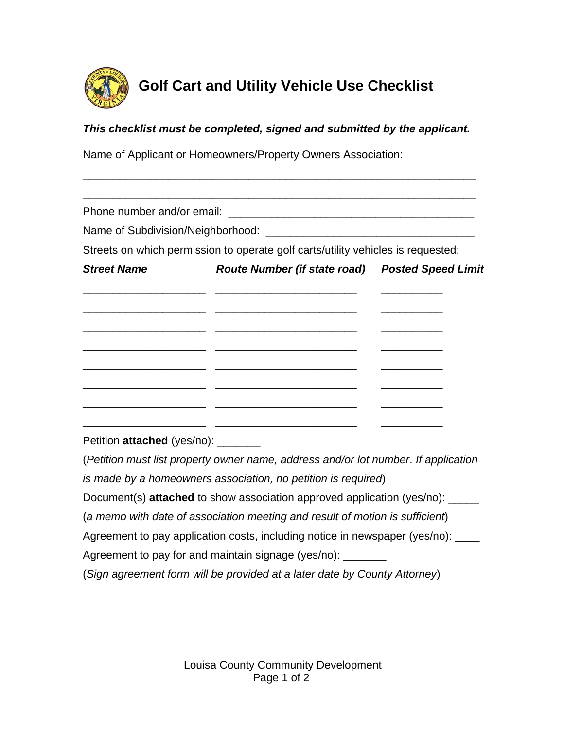

## **Golf Cart and Utility Vehicle Use Checklist**

## *This checklist must be completed, signed and submitted by the applicant.*

\_\_\_\_\_\_\_\_\_\_\_\_\_\_\_\_\_\_\_\_\_\_\_\_\_\_\_\_\_\_\_\_\_\_\_\_\_\_\_\_\_\_\_\_\_\_\_\_\_\_\_\_\_\_\_\_\_\_\_\_\_\_\_\_

Name of Applicant or Homeowners/Property Owners Association:

| Phone number and/or email:          | <u> 1988 - Jan Barbara, margaret eta biztanleria (h. 1988).</u>                      |                                            |
|-------------------------------------|--------------------------------------------------------------------------------------|--------------------------------------------|
|                                     |                                                                                      |                                            |
|                                     | Streets on which permission to operate golf carts/utility vehicles is requested:     |                                            |
| <b>Street Name</b>                  | Route Number (if state road) Posted Speed Limit                                      |                                            |
|                                     |                                                                                      |                                            |
|                                     |                                                                                      |                                            |
|                                     |                                                                                      | <u> 1989 - Andrea Station Books, actor</u> |
|                                     |                                                                                      |                                            |
|                                     |                                                                                      | $\frac{1}{2}$                              |
| Petition attached (yes/no): _______ |                                                                                      |                                            |
|                                     | (Petition must list property owner name, address and/or lot number. If application   |                                            |
|                                     | is made by a homeowners association, no petition is required)                        |                                            |
|                                     | Document(s) <b>attached</b> to show association approved application (yes/no): _____ |                                            |
|                                     | (a memo with date of association meeting and result of motion is sufficient)         |                                            |
|                                     | Agreement to pay application costs, including notice in newspaper (yes/no): ____     |                                            |
|                                     | Agreement to pay for and maintain signage (yes/no): ________                         |                                            |
|                                     | (Sign agreement form will be provided at a later date by County Attorney)            |                                            |